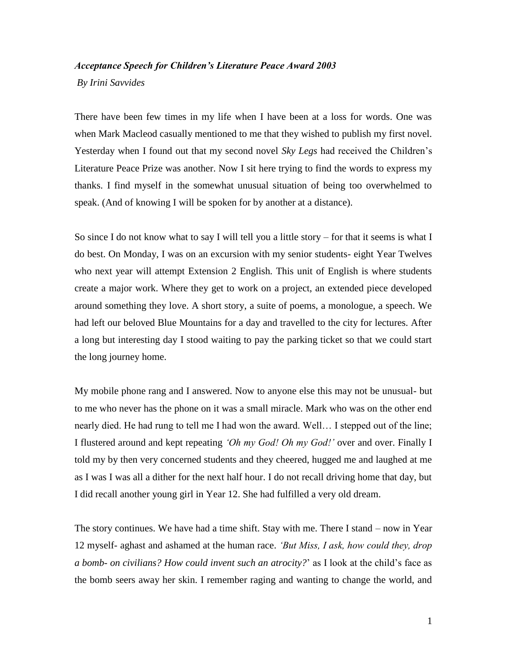## *Acceptance Speech for Children's Literature Peace Award 2003*

*By Irini Savvides*

There have been few times in my life when I have been at a loss for words. One was when Mark Macleod casually mentioned to me that they wished to publish my first novel. Yesterday when I found out that my second novel *Sky Legs* had received the Children's Literature Peace Prize was another. Now I sit here trying to find the words to express my thanks. I find myself in the somewhat unusual situation of being too overwhelmed to speak. (And of knowing I will be spoken for by another at a distance).

So since I do not know what to say I will tell you a little story – for that it seems is what I do best. On Monday, I was on an excursion with my senior students- eight Year Twelves who next year will attempt Extension 2 English. This unit of English is where students create a major work. Where they get to work on a project, an extended piece developed around something they love. A short story, a suite of poems, a monologue, a speech. We had left our beloved Blue Mountains for a day and travelled to the city for lectures. After a long but interesting day I stood waiting to pay the parking ticket so that we could start the long journey home.

My mobile phone rang and I answered. Now to anyone else this may not be unusual- but to me who never has the phone on it was a small miracle. Mark who was on the other end nearly died. He had rung to tell me I had won the award. Well… I stepped out of the line; I flustered around and kept repeating *'Oh my God! Oh my God!'* over and over. Finally I told my by then very concerned students and they cheered, hugged me and laughed at me as I was I was all a dither for the next half hour. I do not recall driving home that day, but I did recall another young girl in Year 12. She had fulfilled a very old dream.

The story continues. We have had a time shift. Stay with me. There I stand – now in Year 12 myself- aghast and ashamed at the human race. *'But Miss, I ask, how could they, drop a bomb- on civilians? How could invent such an atrocity?*' as I look at the child's face as the bomb seers away her skin. I remember raging and wanting to change the world, and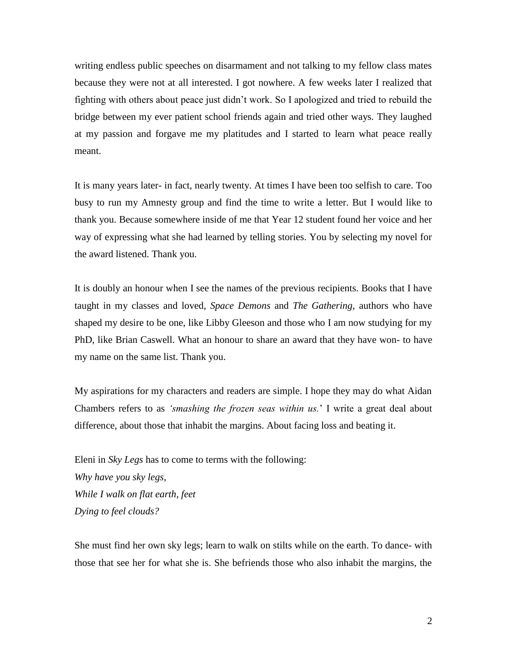writing endless public speeches on disarmament and not talking to my fellow class mates because they were not at all interested. I got nowhere. A few weeks later I realized that fighting with others about peace just didn't work. So I apologized and tried to rebuild the bridge between my ever patient school friends again and tried other ways. They laughed at my passion and forgave me my platitudes and I started to learn what peace really meant.

It is many years later- in fact, nearly twenty. At times I have been too selfish to care. Too busy to run my Amnesty group and find the time to write a letter. But I would like to thank you. Because somewhere inside of me that Year 12 student found her voice and her way of expressing what she had learned by telling stories. You by selecting my novel for the award listened. Thank you.

It is doubly an honour when I see the names of the previous recipients. Books that I have taught in my classes and loved, *Space Demons* and *The Gathering*, authors who have shaped my desire to be one, like Libby Gleeson and those who I am now studying for my PhD, like Brian Caswell. What an honour to share an award that they have won- to have my name on the same list. Thank you.

My aspirations for my characters and readers are simple. I hope they may do what Aidan Chambers refers to as *'smashing the frozen seas within us.*' I write a great deal about difference, about those that inhabit the margins. About facing loss and beating it.

Eleni in *Sky Legs* has to come to terms with the following: *Why have you sky legs, While I walk on flat earth, feet Dying to feel clouds?*

She must find her own sky legs; learn to walk on stilts while on the earth. To dance- with those that see her for what she is. She befriends those who also inhabit the margins, the